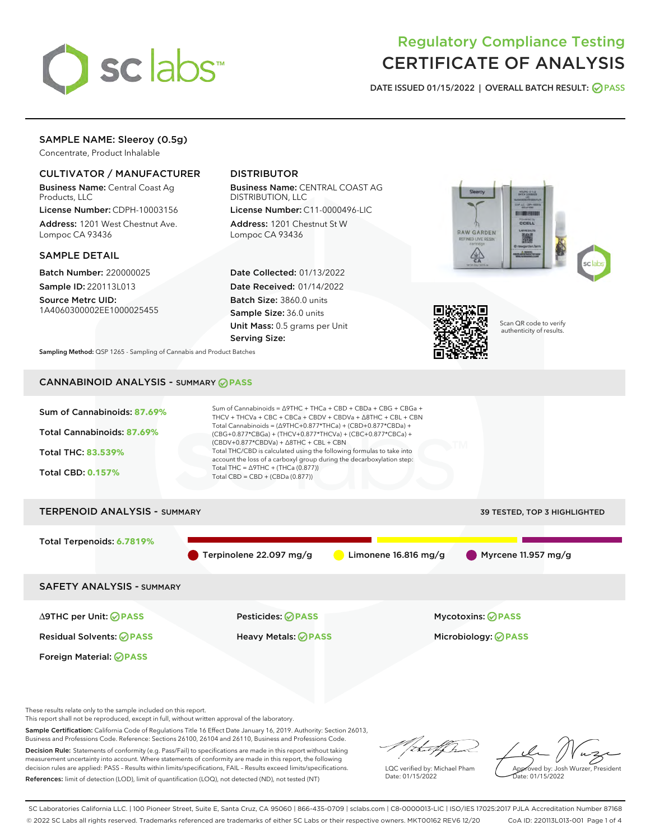

# Regulatory Compliance Testing CERTIFICATE OF ANALYSIS

DATE ISSUED 01/15/2022 | OVERALL BATCH RESULT: @ PASS

## SAMPLE NAME: Sleeroy (0.5g)

Concentrate, Product Inhalable

## CULTIVATOR / MANUFACTURER

Business Name: Central Coast Ag Products, LLC

License Number: CDPH-10003156 Address: 1201 West Chestnut Ave. Lompoc CA 93436

## SAMPLE DETAIL

Batch Number: 220000025 Sample ID: 220113L013

Source Metrc UID: 1A4060300002EE1000025455

## DISTRIBUTOR

Business Name: CENTRAL COAST AG DISTRIBUTION, LLC

License Number: C11-0000496-LIC Address: 1201 Chestnut St W Lompoc CA 93436

Date Collected: 01/13/2022 Date Received: 01/14/2022 Batch Size: 3860.0 units Sample Size: 36.0 units Unit Mass: 0.5 grams per Unit Serving Size:





Scan QR code to verify authenticity of results.

Sampling Method: QSP 1265 - Sampling of Cannabis and Product Batches

## CANNABINOID ANALYSIS - SUMMARY **PASS**



This report shall not be reproduced, except in full, without written approval of the laboratory.

Sample Certification: California Code of Regulations Title 16 Effect Date January 16, 2019. Authority: Section 26013, Business and Professions Code. Reference: Sections 26100, 26104 and 26110, Business and Professions Code.

Decision Rule: Statements of conformity (e.g. Pass/Fail) to specifications are made in this report without taking measurement uncertainty into account. Where statements of conformity are made in this report, the following decision rules are applied: PASS – Results within limits/specifications, FAIL – Results exceed limits/specifications. References: limit of detection (LOD), limit of quantification (LOQ), not detected (ND), not tested (NT)

that f h

LQC verified by: Michael Pham Date: 01/15/2022

Approved by: Josh Wurzer, President ate: 01/15/2022

SC Laboratories California LLC. | 100 Pioneer Street, Suite E, Santa Cruz, CA 95060 | 866-435-0709 | sclabs.com | C8-0000013-LIC | ISO/IES 17025:2017 PJLA Accreditation Number 87168 © 2022 SC Labs all rights reserved. Trademarks referenced are trademarks of either SC Labs or their respective owners. MKT00162 REV6 12/20 CoA ID: 220113L013-001 Page 1 of 4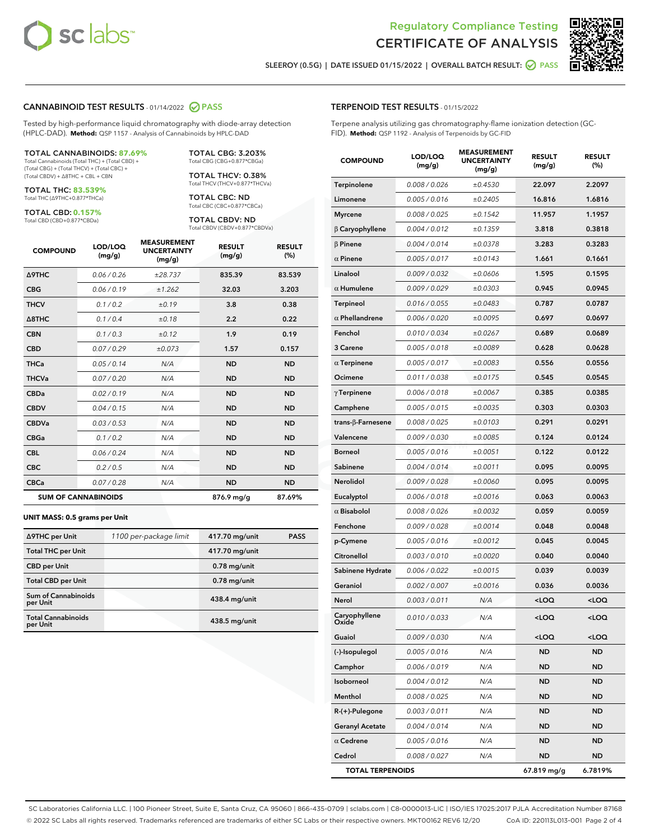



SLEEROY (0.5G) | DATE ISSUED 01/15/2022 | OVERALL BATCH RESULT: 0 PASS

### CANNABINOID TEST RESULTS - 01/14/2022 2 PASS

Tested by high-performance liquid chromatography with diode-array detection (HPLC-DAD). **Method:** QSP 1157 - Analysis of Cannabinoids by HPLC-DAD

#### TOTAL CANNABINOIDS: **87.69%**

Total Cannabinoids (Total THC) + (Total CBD) + (Total CBG) + (Total THCV) + (Total CBC) + (Total CBDV) + ∆8THC + CBL + CBN

TOTAL THC: **83.539%** Total THC (∆9THC+0.877\*THCa)

TOTAL CBD: **0.157%**

Total CBD (CBD+0.877\*CBDa)

TOTAL CBG: 3.203% Total CBG (CBG+0.877\*CBGa)

TOTAL THCV: 0.38% Total THCV (THCV+0.877\*THCVa)

TOTAL CBC: ND Total CBC (CBC+0.877\*CBCa)

TOTAL CBDV: ND Total CBDV (CBDV+0.877\*CBDVa)

| <b>COMPOUND</b>  | LOD/LOQ<br>(mg/g)          | <b>MEASUREMENT</b><br><b>UNCERTAINTY</b><br>(mg/g) | <b>RESULT</b><br>(mg/g) | <b>RESULT</b><br>(%) |
|------------------|----------------------------|----------------------------------------------------|-------------------------|----------------------|
| <b>A9THC</b>     | 0.06 / 0.26                | ±28.737                                            | 835.39                  | 83.539               |
| <b>CBG</b>       | 0.06 / 0.19                | ±1.262                                             | 32.03                   | 3.203                |
| <b>THCV</b>      | 0.1 / 0.2                  | ±0.19                                              | 3.8                     | 0.38                 |
| $\triangle$ 8THC | 0.1/0.4                    | ±0.18                                              | 2.2                     | 0.22                 |
| <b>CBN</b>       | 0.1/0.3                    | ±0.12                                              | 1.9                     | 0.19                 |
| <b>CBD</b>       | 0.07/0.29                  | ±0.073                                             | 1.57                    | 0.157                |
| <b>THCa</b>      | 0.05/0.14                  | N/A                                                | <b>ND</b>               | <b>ND</b>            |
| <b>THCVa</b>     | 0.07/0.20                  | N/A                                                | <b>ND</b>               | <b>ND</b>            |
| <b>CBDa</b>      | 0.02 / 0.19                | N/A                                                | <b>ND</b>               | <b>ND</b>            |
| <b>CBDV</b>      | 0.04 / 0.15                | N/A                                                | <b>ND</b>               | <b>ND</b>            |
| <b>CBDVa</b>     | 0.03/0.53                  | N/A                                                | <b>ND</b>               | <b>ND</b>            |
| <b>CBGa</b>      | 0.1/0.2                    | N/A                                                | <b>ND</b>               | <b>ND</b>            |
| <b>CBL</b>       | 0.06 / 0.24                | N/A                                                | <b>ND</b>               | <b>ND</b>            |
| <b>CBC</b>       | 0.2 / 0.5                  | N/A                                                | <b>ND</b>               | <b>ND</b>            |
| <b>CBCa</b>      | 0.07/0.28                  | N/A                                                | <b>ND</b>               | <b>ND</b>            |
|                  | <b>SUM OF CANNABINOIDS</b> |                                                    | 876.9 mg/g              | 87.69%               |

#### **UNIT MASS: 0.5 grams per Unit**

| ∆9THC per Unit                         | 1100 per-package limit | 417.70 mg/unit  | <b>PASS</b> |
|----------------------------------------|------------------------|-----------------|-------------|
| <b>Total THC per Unit</b>              |                        | 417.70 mg/unit  |             |
| <b>CBD</b> per Unit                    |                        | $0.78$ mg/unit  |             |
| <b>Total CBD per Unit</b>              |                        | $0.78$ mg/unit  |             |
| <b>Sum of Cannabinoids</b><br>per Unit |                        | 438.4 mg/unit   |             |
| <b>Total Cannabinoids</b><br>per Unit  |                        | $438.5$ mg/unit |             |

| <b>COMPOUND</b>           | <b>LOD/LOQ</b><br>(mg/g) | <b>UNCERTAINTY</b><br>(mg/g) | <b>RESULT</b><br>(mg/g)                         | <b>RESULT</b><br>$(\%)$ |
|---------------------------|--------------------------|------------------------------|-------------------------------------------------|-------------------------|
| Terpinolene               | 0.008 / 0.026            | ±0.4530                      | 22.097                                          | 2.2097                  |
| Limonene                  | 0.005 / 0.016            | ±0.2405                      | 16.816                                          | 1.6816                  |
| <b>Myrcene</b>            | 0.008 / 0.025            | ±0.1542                      | 11.957                                          | 1.1957                  |
| $\beta$ Caryophyllene     | 0.004 / 0.012            | ±0.1359                      | 3.818                                           | 0.3818                  |
| $\beta$ Pinene            | 0.004 / 0.014            | ±0.0378                      | 3.283                                           | 0.3283                  |
| $\alpha$ Pinene           | 0.005 / 0.017            | ±0.0143                      | 1.661                                           | 0.1661                  |
| Linalool                  | 0.009 / 0.032            | ±0.0606                      | 1.595                                           | 0.1595                  |
| $\alpha$ Humulene         | 0.009/0.029              | ±0.0303                      | 0.945                                           | 0.0945                  |
| Terpineol                 | 0.016 / 0.055            | ±0.0483                      | 0.787                                           | 0.0787                  |
| $\alpha$ Phellandrene     | 0.006 / 0.020            | ±0.0095                      | 0.697                                           | 0.0697                  |
| Fenchol                   | 0.010 / 0.034            | ±0.0267                      | 0.689                                           | 0.0689                  |
| 3 Carene                  | 0.005 / 0.018            | ±0.0089                      | 0.628                                           | 0.0628                  |
| $\alpha$ Terpinene        | 0.005 / 0.017            | ±0.0083                      | 0.556                                           | 0.0556                  |
| Ocimene                   | 0.011/0.038              | ±0.0175                      | 0.545                                           | 0.0545                  |
| $\gamma$ Terpinene        | 0.006 / 0.018            | ±0.0067                      | 0.385                                           | 0.0385                  |
| Camphene                  | 0.005 / 0.015            | ±0.0035                      | 0.303                                           | 0.0303                  |
| trans- $\beta$ -Farnesene | 0.008 / 0.025            | ±0.0103                      | 0.291                                           | 0.0291                  |
| Valencene                 | 0.009 / 0.030            | ±0.0085                      | 0.124                                           | 0.0124                  |
| <b>Borneol</b>            | 0.005 / 0.016            | ±0.0051                      | 0.122                                           | 0.0122                  |
| Sabinene                  | 0.004 / 0.014            | ±0.0011                      | 0.095                                           | 0.0095                  |
| Nerolidol                 | 0.009 / 0.028            | ±0.0060                      | 0.095                                           | 0.0095                  |
| Eucalyptol                | 0.006 / 0.018            | ±0.0016                      | 0.063                                           | 0.0063                  |
| $\alpha$ Bisabolol        | 0.008 / 0.026            | ±0.0032                      | 0.059                                           | 0.0059                  |
| Fenchone                  | 0.009 / 0.028            | ±0.0014                      | 0.048                                           | 0.0048                  |
| p-Cymene                  | 0.005 / 0.016            | ±0.0012                      | 0.045                                           | 0.0045                  |
| Citronellol               | 0.003 / 0.010            | ±0.0020                      | 0.040                                           | 0.0040                  |
| Sabinene Hydrate          | 0.006 / 0.022            | ±0.0015                      | 0.039                                           | 0.0039                  |
| Geraniol                  | 0.002 / 0.007            | ±0.0016                      | 0.036                                           | 0.0036                  |
| Nerol                     | 0.003 / 0.011            | N/A                          | <loq< th=""><th><loq< th=""></loq<></th></loq<> | <loq< th=""></loq<>     |
| Caryophyllene<br>Oxide    | 0.010 / 0.033            | N/A                          | <loq< th=""><th><loq< th=""></loq<></th></loq<> | <loq< th=""></loq<>     |
| Guaiol                    | 0.009 / 0.030            | N/A                          | <loq< th=""><th><loq< th=""></loq<></th></loq<> | <loq< th=""></loq<>     |
| (-)-Isopulegol            | 0.005 / 0.016            | N/A                          | ND                                              | ND                      |
| Camphor                   | 0.006 / 0.019            | N/A                          | ND                                              | ND                      |
| Isoborneol                | 0.004 / 0.012            | N/A                          | <b>ND</b>                                       | ND                      |
| Menthol                   | 0.008 / 0.025            | N/A                          | ND                                              | ND                      |
| $R-(+)$ -Pulegone         | 0.003 / 0.011            | N/A                          | ND                                              | ND                      |
| <b>Geranyl Acetate</b>    | 0.004 / 0.014            | N/A                          | ND                                              | ND                      |
| $\alpha$ Cedrene          | 0.005 / 0.016            | N/A                          | ND                                              | ND                      |
| Cedrol                    | 0.008 / 0.027            | N/A                          | ND                                              | ND                      |
| <b>TOTAL TERPENOIDS</b>   |                          |                              | 67.819 mg/g                                     | 6.7819%                 |

SC Laboratories California LLC. | 100 Pioneer Street, Suite E, Santa Cruz, CA 95060 | 866-435-0709 | sclabs.com | C8-0000013-LIC | ISO/IES 17025:2017 PJLA Accreditation Number 87168 © 2022 SC Labs all rights reserved. Trademarks referenced are trademarks of either SC Labs or their respective owners. MKT00162 REV6 12/20 CoA ID: 220113L013-001 Page 2 of 4

## TERPENOID TEST RESULTS - 01/15/2022

Terpene analysis utilizing gas chromatography-flame ionization detection (GC-FID). **Method:** QSP 1192 - Analysis of Terpenoids by GC-FID

MEASUREMENT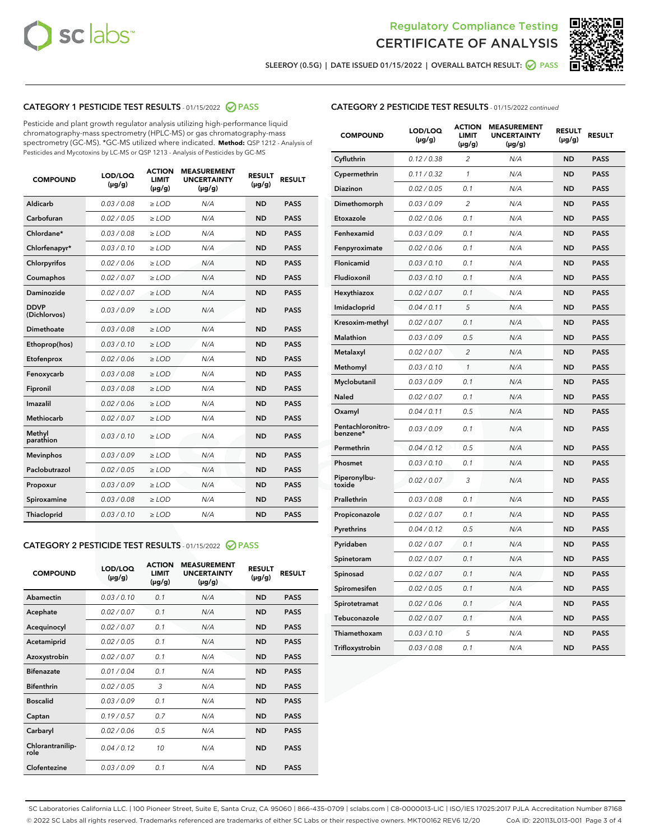



SLEEROY (0.5G) | DATE ISSUED 01/15/2022 | OVERALL BATCH RESULT: 2 PASS

## CATEGORY 1 PESTICIDE TEST RESULTS - 01/15/2022 2 PASS

Pesticide and plant growth regulator analysis utilizing high-performance liquid chromatography-mass spectrometry (HPLC-MS) or gas chromatography-mass spectrometry (GC-MS). \*GC-MS utilized where indicated. **Method:** QSP 1212 - Analysis of Pesticides and Mycotoxins by LC-MS or QSP 1213 - Analysis of Pesticides by GC-MS

| Aldicarb<br>0.03 / 0.08<br><b>ND</b><br>$\ge$ LOD<br>N/A<br><b>PASS</b><br>Carbofuran<br>0.02/0.05<br>N/A<br><b>ND</b><br><b>PASS</b><br>$\ge$ LOD<br>Chlordane*<br>0.03 / 0.08<br><b>ND</b><br><b>PASS</b><br>$\ge$ LOD<br>N/A<br>0.03/0.10<br><b>ND</b><br><b>PASS</b><br>Chlorfenapyr*<br>$\ge$ LOD<br>N/A<br>Chlorpyrifos<br>0.02 / 0.06<br>N/A<br><b>ND</b><br><b>PASS</b><br>$\ge$ LOD<br>0.02 / 0.07<br>N/A<br><b>ND</b><br><b>PASS</b><br>Coumaphos<br>$>$ LOD<br><b>ND</b><br><b>PASS</b><br>Daminozide<br>0.02 / 0.07<br>$\ge$ LOD<br>N/A<br><b>DDVP</b><br>0.03/0.09<br>$\ge$ LOD<br>N/A<br><b>ND</b><br><b>PASS</b><br>(Dichlorvos)<br>Dimethoate<br><b>ND</b><br><b>PASS</b><br>0.03 / 0.08<br>$>$ LOD<br>N/A<br>Ethoprop(hos)<br>0.03/0.10<br>$\ge$ LOD<br>N/A<br><b>ND</b><br><b>PASS</b><br>0.02 / 0.06<br>$\ge$ LOD<br>N/A<br><b>ND</b><br><b>PASS</b><br>Etofenprox<br>Fenoxycarb<br>0.03 / 0.08<br>$>$ LOD<br>N/A<br><b>ND</b><br><b>PASS</b><br>0.03/0.08<br><b>ND</b><br><b>PASS</b><br>Fipronil<br>$\ge$ LOD<br>N/A<br>Imazalil<br>0.02 / 0.06<br>$>$ LOD<br>N/A<br><b>ND</b><br><b>PASS</b><br>Methiocarb<br>0.02 / 0.07<br>N/A<br><b>ND</b><br><b>PASS</b><br>$\ge$ LOD<br>Methyl<br>0.03/0.10<br>$\ge$ LOD<br>N/A<br><b>ND</b><br><b>PASS</b><br>parathion<br>0.03/0.09<br>$\ge$ LOD<br>N/A<br><b>ND</b><br><b>PASS</b><br><b>Mevinphos</b><br>Paclobutrazol<br>0.02 / 0.05<br>$\ge$ LOD<br>N/A<br><b>ND</b><br><b>PASS</b><br>0.03/0.09<br>N/A<br>$\ge$ LOD<br><b>ND</b><br><b>PASS</b><br>Propoxur<br>0.03 / 0.08<br><b>ND</b><br><b>PASS</b><br>Spiroxamine<br>$\ge$ LOD<br>N/A<br><b>PASS</b><br>Thiacloprid<br>0.03/0.10<br>$\ge$ LOD<br>N/A<br><b>ND</b> | <b>COMPOUND</b> | LOD/LOQ<br>$(\mu g/g)$ | <b>ACTION</b><br><b>LIMIT</b><br>$(\mu g/g)$ | <b>MEASUREMENT</b><br><b>UNCERTAINTY</b><br>$(\mu g/g)$ | <b>RESULT</b><br>$(\mu g/g)$ | <b>RESULT</b> |
|-----------------------------------------------------------------------------------------------------------------------------------------------------------------------------------------------------------------------------------------------------------------------------------------------------------------------------------------------------------------------------------------------------------------------------------------------------------------------------------------------------------------------------------------------------------------------------------------------------------------------------------------------------------------------------------------------------------------------------------------------------------------------------------------------------------------------------------------------------------------------------------------------------------------------------------------------------------------------------------------------------------------------------------------------------------------------------------------------------------------------------------------------------------------------------------------------------------------------------------------------------------------------------------------------------------------------------------------------------------------------------------------------------------------------------------------------------------------------------------------------------------------------------------------------------------------------------------------------------------------------------------------------------------------------------------------|-----------------|------------------------|----------------------------------------------|---------------------------------------------------------|------------------------------|---------------|
|                                                                                                                                                                                                                                                                                                                                                                                                                                                                                                                                                                                                                                                                                                                                                                                                                                                                                                                                                                                                                                                                                                                                                                                                                                                                                                                                                                                                                                                                                                                                                                                                                                                                                         |                 |                        |                                              |                                                         |                              |               |
|                                                                                                                                                                                                                                                                                                                                                                                                                                                                                                                                                                                                                                                                                                                                                                                                                                                                                                                                                                                                                                                                                                                                                                                                                                                                                                                                                                                                                                                                                                                                                                                                                                                                                         |                 |                        |                                              |                                                         |                              |               |
|                                                                                                                                                                                                                                                                                                                                                                                                                                                                                                                                                                                                                                                                                                                                                                                                                                                                                                                                                                                                                                                                                                                                                                                                                                                                                                                                                                                                                                                                                                                                                                                                                                                                                         |                 |                        |                                              |                                                         |                              |               |
|                                                                                                                                                                                                                                                                                                                                                                                                                                                                                                                                                                                                                                                                                                                                                                                                                                                                                                                                                                                                                                                                                                                                                                                                                                                                                                                                                                                                                                                                                                                                                                                                                                                                                         |                 |                        |                                              |                                                         |                              |               |
|                                                                                                                                                                                                                                                                                                                                                                                                                                                                                                                                                                                                                                                                                                                                                                                                                                                                                                                                                                                                                                                                                                                                                                                                                                                                                                                                                                                                                                                                                                                                                                                                                                                                                         |                 |                        |                                              |                                                         |                              |               |
|                                                                                                                                                                                                                                                                                                                                                                                                                                                                                                                                                                                                                                                                                                                                                                                                                                                                                                                                                                                                                                                                                                                                                                                                                                                                                                                                                                                                                                                                                                                                                                                                                                                                                         |                 |                        |                                              |                                                         |                              |               |
|                                                                                                                                                                                                                                                                                                                                                                                                                                                                                                                                                                                                                                                                                                                                                                                                                                                                                                                                                                                                                                                                                                                                                                                                                                                                                                                                                                                                                                                                                                                                                                                                                                                                                         |                 |                        |                                              |                                                         |                              |               |
|                                                                                                                                                                                                                                                                                                                                                                                                                                                                                                                                                                                                                                                                                                                                                                                                                                                                                                                                                                                                                                                                                                                                                                                                                                                                                                                                                                                                                                                                                                                                                                                                                                                                                         |                 |                        |                                              |                                                         |                              |               |
|                                                                                                                                                                                                                                                                                                                                                                                                                                                                                                                                                                                                                                                                                                                                                                                                                                                                                                                                                                                                                                                                                                                                                                                                                                                                                                                                                                                                                                                                                                                                                                                                                                                                                         |                 |                        |                                              |                                                         |                              |               |
|                                                                                                                                                                                                                                                                                                                                                                                                                                                                                                                                                                                                                                                                                                                                                                                                                                                                                                                                                                                                                                                                                                                                                                                                                                                                                                                                                                                                                                                                                                                                                                                                                                                                                         |                 |                        |                                              |                                                         |                              |               |
|                                                                                                                                                                                                                                                                                                                                                                                                                                                                                                                                                                                                                                                                                                                                                                                                                                                                                                                                                                                                                                                                                                                                                                                                                                                                                                                                                                                                                                                                                                                                                                                                                                                                                         |                 |                        |                                              |                                                         |                              |               |
|                                                                                                                                                                                                                                                                                                                                                                                                                                                                                                                                                                                                                                                                                                                                                                                                                                                                                                                                                                                                                                                                                                                                                                                                                                                                                                                                                                                                                                                                                                                                                                                                                                                                                         |                 |                        |                                              |                                                         |                              |               |
|                                                                                                                                                                                                                                                                                                                                                                                                                                                                                                                                                                                                                                                                                                                                                                                                                                                                                                                                                                                                                                                                                                                                                                                                                                                                                                                                                                                                                                                                                                                                                                                                                                                                                         |                 |                        |                                              |                                                         |                              |               |
|                                                                                                                                                                                                                                                                                                                                                                                                                                                                                                                                                                                                                                                                                                                                                                                                                                                                                                                                                                                                                                                                                                                                                                                                                                                                                                                                                                                                                                                                                                                                                                                                                                                                                         |                 |                        |                                              |                                                         |                              |               |
|                                                                                                                                                                                                                                                                                                                                                                                                                                                                                                                                                                                                                                                                                                                                                                                                                                                                                                                                                                                                                                                                                                                                                                                                                                                                                                                                                                                                                                                                                                                                                                                                                                                                                         |                 |                        |                                              |                                                         |                              |               |
|                                                                                                                                                                                                                                                                                                                                                                                                                                                                                                                                                                                                                                                                                                                                                                                                                                                                                                                                                                                                                                                                                                                                                                                                                                                                                                                                                                                                                                                                                                                                                                                                                                                                                         |                 |                        |                                              |                                                         |                              |               |
|                                                                                                                                                                                                                                                                                                                                                                                                                                                                                                                                                                                                                                                                                                                                                                                                                                                                                                                                                                                                                                                                                                                                                                                                                                                                                                                                                                                                                                                                                                                                                                                                                                                                                         |                 |                        |                                              |                                                         |                              |               |
|                                                                                                                                                                                                                                                                                                                                                                                                                                                                                                                                                                                                                                                                                                                                                                                                                                                                                                                                                                                                                                                                                                                                                                                                                                                                                                                                                                                                                                                                                                                                                                                                                                                                                         |                 |                        |                                              |                                                         |                              |               |
|                                                                                                                                                                                                                                                                                                                                                                                                                                                                                                                                                                                                                                                                                                                                                                                                                                                                                                                                                                                                                                                                                                                                                                                                                                                                                                                                                                                                                                                                                                                                                                                                                                                                                         |                 |                        |                                              |                                                         |                              |               |
|                                                                                                                                                                                                                                                                                                                                                                                                                                                                                                                                                                                                                                                                                                                                                                                                                                                                                                                                                                                                                                                                                                                                                                                                                                                                                                                                                                                                                                                                                                                                                                                                                                                                                         |                 |                        |                                              |                                                         |                              |               |
|                                                                                                                                                                                                                                                                                                                                                                                                                                                                                                                                                                                                                                                                                                                                                                                                                                                                                                                                                                                                                                                                                                                                                                                                                                                                                                                                                                                                                                                                                                                                                                                                                                                                                         |                 |                        |                                              |                                                         |                              |               |

#### CATEGORY 2 PESTICIDE TEST RESULTS - 01/15/2022 2 PASS

| <b>COMPOUND</b>          | LOD/LOO<br>$(\mu g/g)$ | <b>ACTION</b><br>LIMIT<br>$(\mu g/g)$ | <b>MEASUREMENT</b><br><b>UNCERTAINTY</b><br>$(\mu g/g)$ | <b>RESULT</b><br>$(\mu g/g)$ | <b>RESULT</b> |  |
|--------------------------|------------------------|---------------------------------------|---------------------------------------------------------|------------------------------|---------------|--|
| Abamectin                | 0.03/0.10              | 0.1                                   | N/A                                                     | <b>ND</b>                    | <b>PASS</b>   |  |
| Acephate                 | 0.02/0.07              | 0.1                                   | N/A                                                     | <b>ND</b>                    | <b>PASS</b>   |  |
| Acequinocyl              | 0.02/0.07              | 0.1                                   | N/A                                                     | <b>ND</b>                    | <b>PASS</b>   |  |
| Acetamiprid              | 0.02 / 0.05            | 0.1                                   | N/A                                                     | <b>ND</b>                    | <b>PASS</b>   |  |
| Azoxystrobin             | 0.02/0.07              | 0.1                                   | N/A                                                     | <b>ND</b>                    | <b>PASS</b>   |  |
| <b>Bifenazate</b>        | 0.01 / 0.04            | 0.1                                   | N/A                                                     | <b>ND</b>                    | <b>PASS</b>   |  |
| <b>Bifenthrin</b>        | 0.02 / 0.05            | 3                                     | N/A                                                     | <b>ND</b>                    | <b>PASS</b>   |  |
| <b>Boscalid</b>          | 0.03/0.09              | 0.1                                   | N/A                                                     | <b>ND</b>                    | <b>PASS</b>   |  |
| Captan                   | 0.19/0.57              | 0.7                                   | N/A                                                     | <b>ND</b>                    | <b>PASS</b>   |  |
| Carbaryl                 | 0.02/0.06              | 0.5                                   | N/A                                                     | <b>ND</b>                    | <b>PASS</b>   |  |
| Chlorantranilip-<br>role | 0.04/0.12              | 10                                    | N/A                                                     | <b>ND</b>                    | <b>PASS</b>   |  |
| Clofentezine             | 0.03/0.09              | 0.1                                   | N/A                                                     | <b>ND</b>                    | <b>PASS</b>   |  |

| <b>CATEGORY 2 PESTICIDE TEST RESULTS</b> - 01/15/2022 continued |  |
|-----------------------------------------------------------------|--|
|-----------------------------------------------------------------|--|

| <b>COMPOUND</b>               | LOD/LOQ<br>(µg/g) | <b>ACTION</b><br><b>LIMIT</b><br>(µg/g) | <b>MEASUREMENT</b><br><b>UNCERTAINTY</b><br>$(\mu g/g)$ | <b>RESULT</b><br>(µg/g) | <b>RESULT</b> |
|-------------------------------|-------------------|-----------------------------------------|---------------------------------------------------------|-------------------------|---------------|
| Cyfluthrin                    | 0.12 / 0.38       | $\overline{c}$                          | N/A                                                     | <b>ND</b>               | <b>PASS</b>   |
| Cypermethrin                  | 0.11 / 0.32       | 1                                       | N/A                                                     | <b>ND</b>               | <b>PASS</b>   |
| <b>Diazinon</b>               | 0.02 / 0.05       | 0.1                                     | N/A                                                     | <b>ND</b>               | <b>PASS</b>   |
| Dimethomorph                  | 0.03 / 0.09       | 2                                       | N/A                                                     | <b>ND</b>               | <b>PASS</b>   |
| Etoxazole                     | 0.02 / 0.06       | 0.1                                     | N/A                                                     | <b>ND</b>               | <b>PASS</b>   |
| Fenhexamid                    | 0.03 / 0.09       | 0.1                                     | N/A                                                     | <b>ND</b>               | <b>PASS</b>   |
| Fenpyroximate                 | 0.02 / 0.06       | 0.1                                     | N/A                                                     | <b>ND</b>               | <b>PASS</b>   |
| Flonicamid                    | 0.03 / 0.10       | 0.1                                     | N/A                                                     | <b>ND</b>               | <b>PASS</b>   |
| Fludioxonil                   | 0.03 / 0.10       | 0.1                                     | N/A                                                     | <b>ND</b>               | <b>PASS</b>   |
| Hexythiazox                   | 0.02 / 0.07       | 0.1                                     | N/A                                                     | <b>ND</b>               | <b>PASS</b>   |
| Imidacloprid                  | 0.04 / 0.11       | 5                                       | N/A                                                     | <b>ND</b>               | <b>PASS</b>   |
| Kresoxim-methyl               | 0.02 / 0.07       | 0.1                                     | N/A                                                     | <b>ND</b>               | <b>PASS</b>   |
| Malathion                     | 0.03 / 0.09       | 0.5                                     | N/A                                                     | <b>ND</b>               | <b>PASS</b>   |
| Metalaxyl                     | 0.02 / 0.07       | $\overline{c}$                          | N/A                                                     | <b>ND</b>               | <b>PASS</b>   |
| Methomyl                      | 0.03 / 0.10       | $\mathcal{I}$                           | N/A                                                     | <b>ND</b>               | <b>PASS</b>   |
| Myclobutanil                  | 0.03 / 0.09       | 0.1                                     | N/A                                                     | <b>ND</b>               | <b>PASS</b>   |
| <b>Naled</b>                  | 0.02 / 0.07       | 0.1                                     | N/A                                                     | <b>ND</b>               | <b>PASS</b>   |
| Oxamyl                        | 0.04 / 0.11       | 0.5                                     | N/A                                                     | <b>ND</b>               | <b>PASS</b>   |
| Pentachloronitro-<br>benzene* | 0.03/0.09         | 0.1                                     | N/A                                                     | <b>ND</b>               | <b>PASS</b>   |
| Permethrin                    | 0.04 / 0.12       | 0.5                                     | N/A                                                     | <b>ND</b>               | <b>PASS</b>   |
| Phosmet                       | 0.03 / 0.10       | 0.1                                     | N/A                                                     | <b>ND</b>               | <b>PASS</b>   |
| Piperonylbu-<br>toxide        | 0.02 / 0.07       | 3                                       | N/A                                                     | <b>ND</b>               | <b>PASS</b>   |
| Prallethrin                   | 0.03 / 0.08       | 0.1                                     | N/A                                                     | <b>ND</b>               | <b>PASS</b>   |
| Propiconazole                 | 0.02 / 0.07       | 0.1                                     | N/A                                                     | <b>ND</b>               | <b>PASS</b>   |
| Pyrethrins                    | 0.04 / 0.12       | 0.5                                     | N/A                                                     | <b>ND</b>               | <b>PASS</b>   |
| Pyridaben                     | 0.02 / 0.07       | 0.1                                     | N/A                                                     | <b>ND</b>               | <b>PASS</b>   |
| Spinetoram                    | 0.02 / 0.07       | 0.1                                     | N/A                                                     | <b>ND</b>               | <b>PASS</b>   |
| Spinosad                      | 0.02 / 0.07       | 0.1                                     | N/A                                                     | <b>ND</b>               | <b>PASS</b>   |
| Spiromesifen                  | 0.02 / 0.05       | 0.1                                     | N/A                                                     | <b>ND</b>               | <b>PASS</b>   |
| Spirotetramat                 | 0.02 / 0.06       | 0.1                                     | N/A                                                     | ND                      | <b>PASS</b>   |
| Tebuconazole                  | 0.02 / 0.07       | 0.1                                     | N/A                                                     | <b>ND</b>               | <b>PASS</b>   |
| Thiamethoxam                  | 0.03 / 0.10       | 5                                       | N/A                                                     | <b>ND</b>               | <b>PASS</b>   |
| Trifloxystrobin               | 0.03 / 0.08       | 0.1                                     | N/A                                                     | <b>ND</b>               | <b>PASS</b>   |

SC Laboratories California LLC. | 100 Pioneer Street, Suite E, Santa Cruz, CA 95060 | 866-435-0709 | sclabs.com | C8-0000013-LIC | ISO/IES 17025:2017 PJLA Accreditation Number 87168 © 2022 SC Labs all rights reserved. Trademarks referenced are trademarks of either SC Labs or their respective owners. MKT00162 REV6 12/20 CoA ID: 220113L013-001 Page 3 of 4